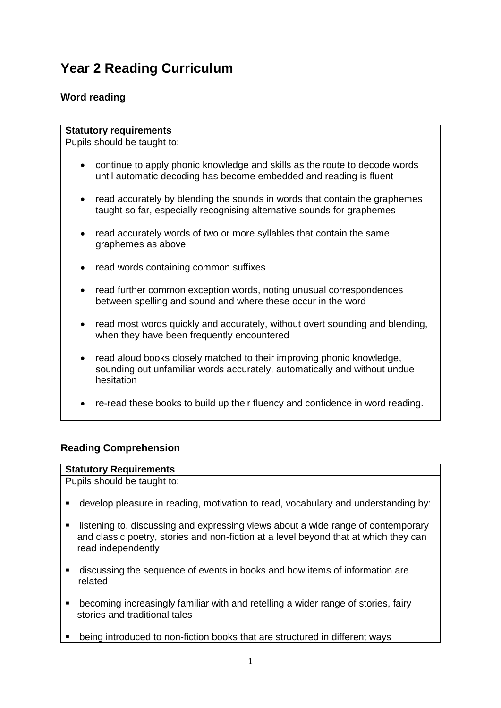# **Year 2 Reading Curriculum**

## **Word reading**

#### **Statutory requirements**

Pupils should be taught to:

- continue to apply phonic knowledge and skills as the route to decode words until automatic decoding has become embedded and reading is fluent
- read accurately by blending the sounds in words that contain the graphemes taught so far, especially recognising alternative sounds for graphemes
- read accurately words of two or more syllables that contain the same graphemes as above
- read words containing common suffixes
- read further common exception words, noting unusual correspondences between spelling and sound and where these occur in the word
- read most words quickly and accurately, without overt sounding and blending, when they have been frequently encountered
- read aloud books closely matched to their improving phonic knowledge, sounding out unfamiliar words accurately, automatically and without undue hesitation
- re-read these books to build up their fluency and confidence in word reading.

### **Reading Comprehension**

#### **Statutory Requirements**

Pupils should be taught to:

- develop pleasure in reading, motivation to read, vocabulary and understanding by:
- listening to, discussing and expressing views about a wide range of contemporary and classic poetry, stories and non-fiction at a level beyond that at which they can read independently
- discussing the sequence of events in books and how items of information are related
- becoming increasingly familiar with and retelling a wider range of stories, fairy stories and traditional tales
- being introduced to non-fiction books that are structured in different ways